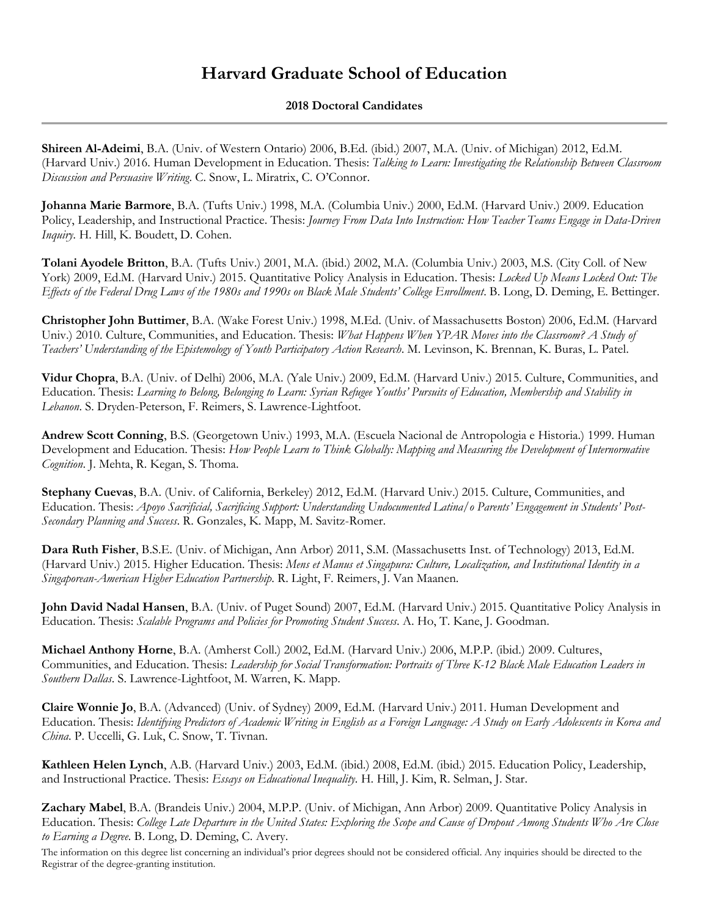## **Harvard Graduate School of Education**

## **2018 Doctoral Candidates**

**Shireen Al-Adeimi**, B.A. (Univ. of Western Ontario) 2006, B.Ed. (ibid.) 2007, M.A. (Univ. of Michigan) 2012, Ed.M. (Harvard Univ.) 2016. Human Development in Education. Thesis: *Talking to Learn: Investigating the Relationship Between Classroom Discussion and Persuasive Writing*. C. Snow, L. Miratrix, C. O'Connor.

**Johanna Marie Barmore**, B.A. (Tufts Univ.) 1998, M.A. (Columbia Univ.) 2000, Ed.M. (Harvard Univ.) 2009. Education Policy, Leadership, and Instructional Practice. Thesis: *Journey From Data Into Instruction: How Teacher Teams Engage in Data-Driven Inquiry.* H. Hill, K. Boudett, D. Cohen.

**Tolani Ayodele Britton**, B.A. (Tufts Univ.) 2001, M.A. (ibid.) 2002, M.A. (Columbia Univ.) 2003, M.S. (City Coll. of New York) 2009, Ed.M. (Harvard Univ.) 2015. Quantitative Policy Analysis in Education. Thesis: *Locked Up Means Locked Out: The Effects of the Federal Drug Laws of the 1980s and 1990s on Black Male Students' College Enrollment*. B. Long, D. Deming, E. Bettinger.

**Christopher John Buttimer**, B.A. (Wake Forest Univ.) 1998, M.Ed. (Univ. of Massachusetts Boston) 2006, Ed.M. (Harvard Univ.) 2010. Culture, Communities, and Education. Thesis: *What Happens When YPAR Moves into the Classroom? A Study of Teachers' Understanding of the Epistemology of Youth Participatory Action Research*. M. Levinson, K. Brennan, K. Buras, L. Patel.

**Vidur Chopra**, B.A. (Univ. of Delhi) 2006, M.A. (Yale Univ.) 2009, Ed.M. (Harvard Univ.) 2015. Culture, Communities, and Education. Thesis: *Learning to Belong, Belonging to Learn: Syrian Refugee Youths' Pursuits of Education, Membership and Stability in Lebanon*. S. Dryden-Peterson, F. Reimers, S. Lawrence-Lightfoot.

**Andrew Scott Conning**, B.S. (Georgetown Univ.) 1993, M.A. (Escuela Nacional de Antropologia e Historia.) 1999. Human Development and Education. Thesis: *How People Learn to Think Globally: Mapping and Measuring the Development of Internormative Cognition*. J. Mehta, R. Kegan, S. Thoma.

**Stephany Cuevas**, B.A. (Univ. of California, Berkeley) 2012, Ed.M. (Harvard Univ.) 2015. Culture, Communities, and Education. Thesis: *Apoyo Sacrificial, Sacrificing Support: Understanding Undocumented Latina/o Parents' Engagement in Students' Post-Secondary Planning and Success*. R. Gonzales, K. Mapp, M. Savitz-Romer.

**Dara Ruth Fisher**, B.S.E. (Univ. of Michigan, Ann Arbor) 2011, S.M. (Massachusetts Inst. of Technology) 2013, Ed.M. (Harvard Univ.) 2015. Higher Education. Thesis: *Mens et Manus et Singapura: Culture, Localization, and Institutional Identity in a Singaporean-American Higher Education Partnership*. R. Light, F. Reimers, J. Van Maanen.

**John David Nadal Hansen**, B.A. (Univ. of Puget Sound) 2007, Ed.M. (Harvard Univ.) 2015. Quantitative Policy Analysis in Education. Thesis: *Scalable Programs and Policies for Promoting Student Success*. A. Ho, T. Kane, J. Goodman.

**Michael Anthony Horne**, B.A. (Amherst Coll.) 2002, Ed.M. (Harvard Univ.) 2006, M.P.P. (ibid.) 2009. Cultures, Communities, and Education. Thesis: *Leadership for Social Transformation: Portraits of Three K-12 Black Male Education Leaders in Southern Dallas*. S. Lawrence-Lightfoot, M. Warren, K. Mapp.

**Claire Wonnie Jo**, B.A. (Advanced) (Univ. of Sydney) 2009, Ed.M. (Harvard Univ.) 2011. Human Development and Education. Thesis: *Identifying Predictors of Academic Writing in English as a Foreign Language: A Study on Early Adolescents in Korea and China*. P. Uccelli, G. Luk, C. Snow, T. Tivnan.

**Kathleen Helen Lynch**, A.B. (Harvard Univ.) 2003, Ed.M. (ibid.) 2008, Ed.M. (ibid.) 2015. Education Policy, Leadership, and Instructional Practice. Thesis: *Essays on Educational Inequality.* H. Hill, J. Kim, R. Selman, J. Star.

**Zachary Mabel**, B.A. (Brandeis Univ.) 2004, M.P.P. (Univ. of Michigan, Ann Arbor) 2009. Quantitative Policy Analysis in Education. Thesis: *College Late Departure in the United States: Exploring the Scope and Cause of Dropout Among Students Who Are Close to Earning a Degree.* B. Long, D. Deming, C. Avery.

The information on this degree list concerning an individual's prior degrees should not be considered official. Any inquiries should be directed to the Registrar of the degree-granting institution.